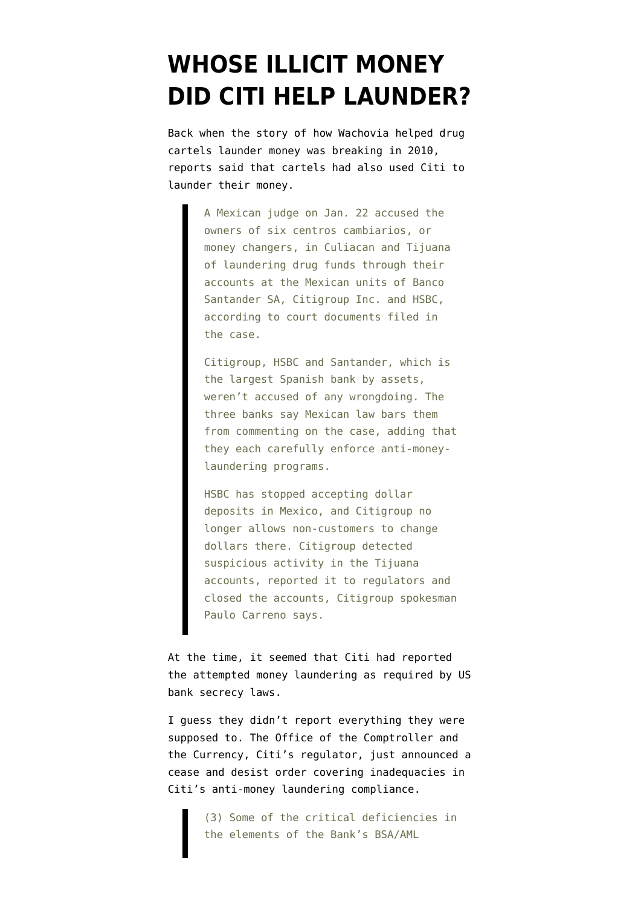## **[WHOSE ILLICIT MONEY](https://www.emptywheel.net/2012/04/05/whose-illicit-money-did-citi-help-launder/) [DID CITI HELP LAUNDER?](https://www.emptywheel.net/2012/04/05/whose-illicit-money-did-citi-help-launder/)**

Back when the story of how Wachovia [helped drug](http://www.emptywheel.net/2011/04/03/how-allowing-money-laundering-keeps-our-bubblicious-finance-afloat/) [cartels launder money](http://www.emptywheel.net/2011/04/03/how-allowing-money-laundering-keeps-our-bubblicious-finance-afloat/) was breaking in 2010, reports said that [cartels had also used](http://www.startribune.com/business/97698179.html?page=all&prepage=1&c=y#continue) Citi to launder their money.

> A Mexican judge on Jan. 22 accused the owners of six centros cambiarios, or money changers, in Culiacan and Tijuana of laundering drug funds through their accounts at the Mexican units of Banco Santander SA, Citigroup Inc. and HSBC, according to court documents filed in the case.

Citigroup, HSBC and Santander, which is the largest Spanish bank by assets, weren't accused of any wrongdoing. The three banks say Mexican law bars them from commenting on the case, adding that they each carefully enforce anti-moneylaundering programs.

HSBC has stopped accepting dollar deposits in Mexico, and Citigroup no longer allows non-customers to change dollars there. Citigroup detected suspicious activity in the Tijuana accounts, reported it to regulators and closed the accounts, Citigroup spokesman Paulo Carreno says.

At the time, it seemed that Citi had reported the attempted money laundering as required by US bank secrecy laws.

I guess [they didn't report everything](http://www.occ.gov/news-issuances/news-releases/2012/nr-occ-2012-57a.pdf) they were supposed to. The Office of the Comptroller and the Currency, Citi's regulator, just announced a cease and desist order covering inadequacies in Citi's anti-money laundering compliance.

> (3) Some of the critical deficiencies in the elements of the Bank's BSA/AML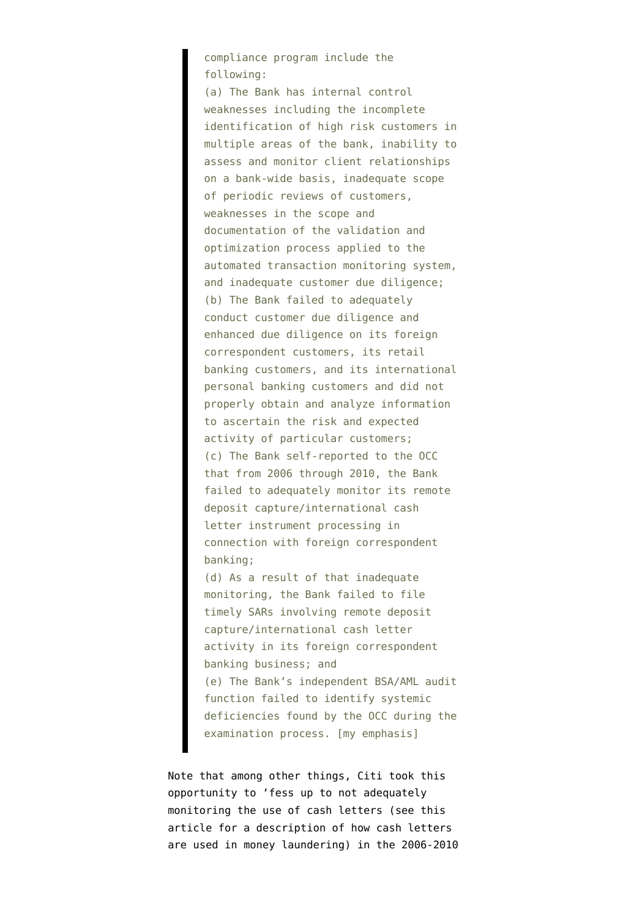compliance program include the following:

(a) The Bank has internal control weaknesses including the incomplete identification of high risk customers in multiple areas of the bank, inability to assess and monitor client relationships on a bank-wide basis, inadequate scope of periodic reviews of customers, weaknesses in the scope and documentation of the validation and optimization process applied to the automated transaction monitoring system, and inadequate customer due diligence; (b) The Bank failed to adequately conduct customer due diligence and enhanced due diligence on its foreign correspondent customers, its retail banking customers, and its international personal banking customers and did not properly obtain and analyze information to ascertain the risk and expected activity of particular customers; (c) The Bank self-reported to the OCC that from 2006 through 2010, the Bank failed to adequately monitor its remote deposit capture/international cash letter instrument processing in connection with foreign correspondent banking;

(d) As a result of that inadequate monitoring, the Bank failed to file timely SARs involving remote deposit capture/international cash letter activity in its foreign correspondent banking business; and (e) The Bank's independent BSA/AML audit function failed to identify systemic deficiencies found by the OCC during the examination process. [my emphasis]

Note that among other things, Citi took this opportunity to 'fess up to not adequately monitoring the use of cash letters [\(see this](http://www.bankersonline.com/security/sar/suspiciousmonetary.html) [article](http://www.bankersonline.com/security/sar/suspiciousmonetary.html) for a description of how cash letters are used in money laundering) in the 2006-2010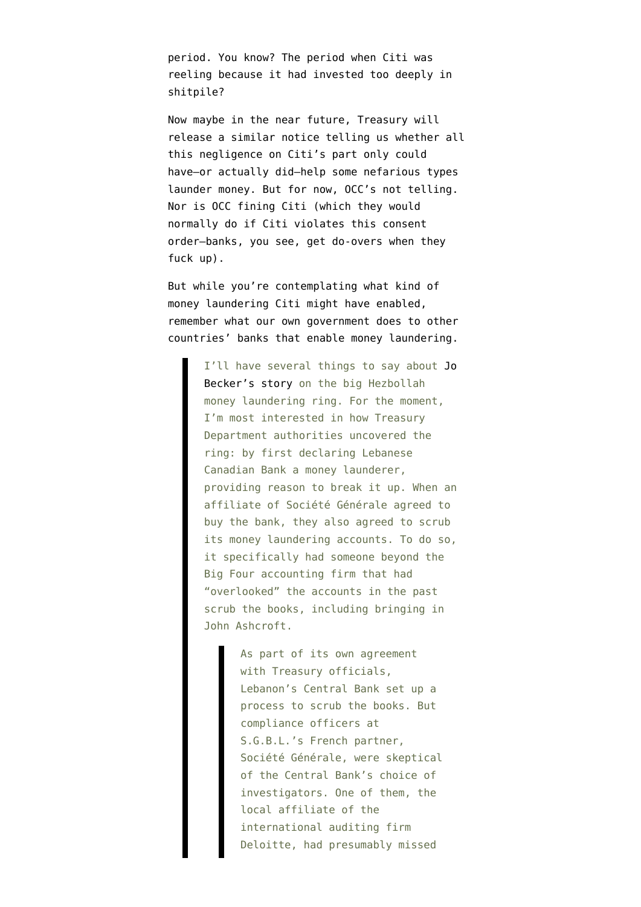period. You know? The period when Citi was reeling because it had invested too deeply in shitpile?

Now maybe in the near future, Treasury will release a similar notice telling us whether all this negligence on Citi's part only could have–or actually did–help some nefarious types launder money. But for now, OCC's not telling. Nor is OCC fining Citi (which they would normally do if Citi violates this consent order–banks, you see, get do-overs when they fuck up).

But while you're contemplating what kind of money laundering Citi might have enabled, remember [what our own government does](http://www.emptywheel.net/2011/12/14/what-if-we-scrubbed-wachovia-like-we-did-the-lebanese-canadian-bank/) to other countries' banks that enable money laundering.

> I'll have several things to say about [Jo](https://www.nytimes.com/2011/12/14/world/middleeast/beirut-bank-seen-as-a-hub-of-hezbollahs-financing.html?_r=2&seid=auto&smid=tw-nytimes&pagewanted=all) [Becker's story](https://www.nytimes.com/2011/12/14/world/middleeast/beirut-bank-seen-as-a-hub-of-hezbollahs-financing.html?_r=2&seid=auto&smid=tw-nytimes&pagewanted=all) on the big Hezbollah money laundering ring. For the moment, I'm most interested in how Treasury Department authorities uncovered the ring: by first declaring Lebanese Canadian Bank a money launderer, providing reason to break it up. When an affiliate of Société Générale agreed to buy the bank, they also agreed to scrub its money laundering accounts. To do so, it specifically had someone beyond the Big Four accounting firm that had "overlooked" the accounts in the past scrub the books, including bringing in John Ashcroft.

> > As part of its own agreement with Treasury officials, Lebanon's Central Bank set up a process to scrub the books. But compliance officers at S.G.B.L.'s French partner, Société Générale, were skeptical of the Central Bank's choice of investigators. One of them, the local affiliate of the international auditing firm Deloitte, had presumably missed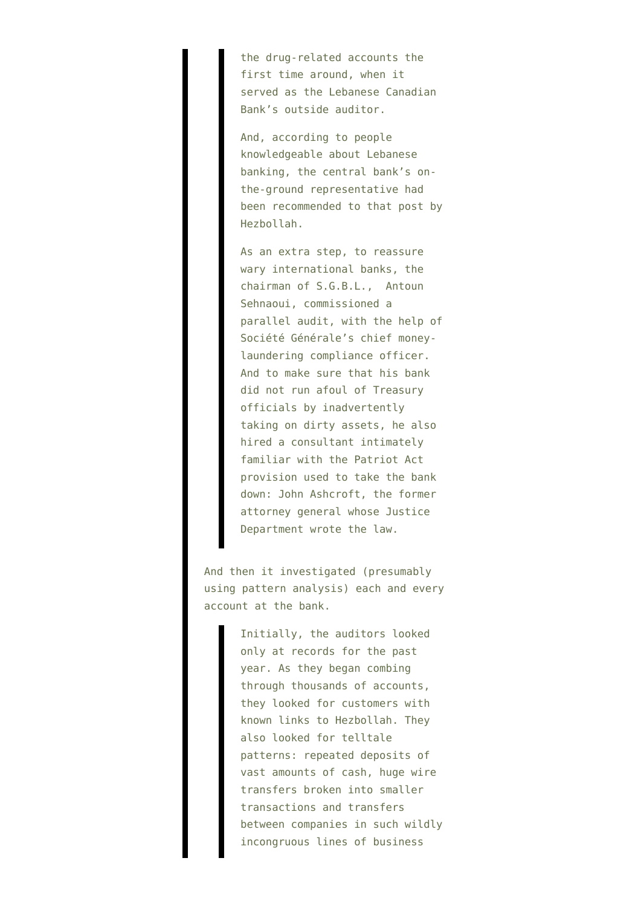the drug-related accounts the first time around, when it served as the Lebanese Canadian Bank's outside auditor.

And, according to people knowledgeable about Lebanese banking, the central bank's onthe-ground representative had been recommended to that post by Hezbollah.

As an extra step, to reassure wary international banks, the chairman of S.G.B.L., Antoun Sehnaoui, commissioned a parallel audit, with the help of Société Générale's chief moneylaundering compliance officer. And to make sure that his bank did not run afoul of Treasury officials by inadvertently taking on dirty assets, he also hired a consultant intimately familiar with the Patriot Act provision used to take the bank down: John Ashcroft, the former attorney general whose Justice Department wrote the law.

And then it investigated (presumably using pattern analysis) each and every account at the bank.

> Initially, the auditors looked only at records for the past year. As they began combing through thousands of accounts, they looked for customers with known links to Hezbollah. They also looked for telltale patterns: repeated deposits of vast amounts of cash, huge wire transfers broken into smaller transactions and transfers between companies in such wildly incongruous lines of business